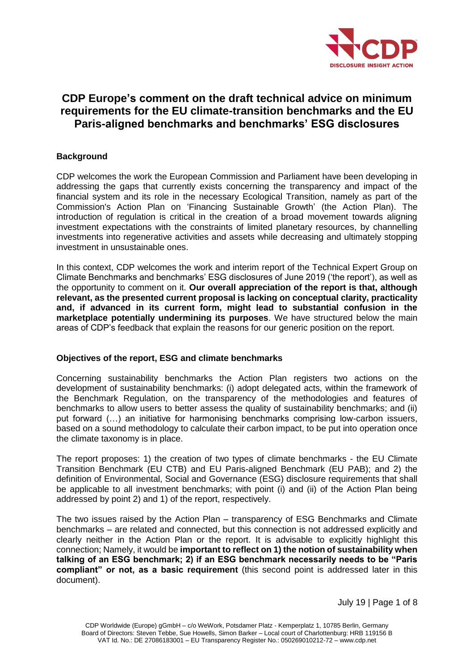

# **CDP Europe's comment on the draft technical advice on minimum requirements for the EU climate-transition benchmarks and the EU Paris-aligned benchmarks and benchmarks' ESG disclosures**

# **Background**

CDP welcomes the work the European Commission and Parliament have been developing in addressing the gaps that currently exists concerning the transparency and impact of the financial system and its role in the necessary Ecological Transition, namely as part of the Commission's Action Plan on 'Financing Sustainable Growth' (the Action Plan). The introduction of regulation is critical in the creation of a broad movement towards aligning investment expectations with the constraints of limited planetary resources, by channelling investments into regenerative activities and assets while decreasing and ultimately stopping investment in unsustainable ones.

In this context, CDP welcomes the work and interim report of the Technical Expert Group on Climate Benchmarks and benchmarks' ESG disclosures of June 2019 ('the report'), as well as the opportunity to comment on it. **Our overall appreciation of the report is that, although relevant, as the presented current proposal is lacking on conceptual clarity, practicality and, if advanced in its current form, might lead to substantial confusion in the marketplace potentially undermining its purposes**. We have structured below the main areas of CDP's feedback that explain the reasons for our generic position on the report.

# **Objectives of the report, ESG and climate benchmarks**

Concerning sustainability benchmarks the Action Plan registers two actions on the development of sustainability benchmarks: (i) adopt delegated acts, within the framework of the Benchmark Regulation, on the transparency of the methodologies and features of benchmarks to allow users to better assess the quality of sustainability benchmarks; and (ii) put forward (…) an initiative for harmonising benchmarks comprising low-carbon issuers, based on a sound methodology to calculate their carbon impact, to be put into operation once the climate taxonomy is in place.

The report proposes: 1) the creation of two types of climate benchmarks - the EU Climate Transition Benchmark (EU CTB) and EU Paris-aligned Benchmark (EU PAB); and 2) the definition of Environmental, Social and Governance (ESG) disclosure requirements that shall be applicable to all investment benchmarks; with point (i) and (ii) of the Action Plan being addressed by point 2) and 1) of the report, respectively.

The two issues raised by the Action Plan – transparency of ESG Benchmarks and Climate benchmarks – are related and connected, but this connection is not addressed explicitly and clearly neither in the Action Plan or the report. It is advisable to explicitly highlight this connection; Namely, it would be **important to reflect on 1) the notion of sustainability when talking of an ESG benchmark; 2) if an ESG benchmark necessarily needs to be "Paris compliant" or not, as a basic requirement** (this second point is addressed later in this document).

July 19 | Page 1 of 8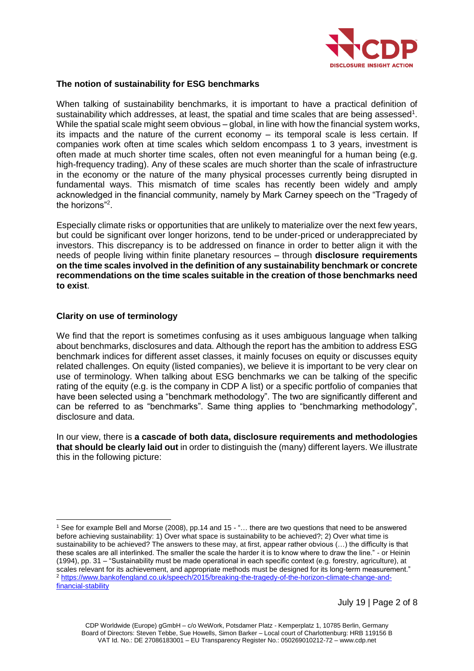

#### **The notion of sustainability for ESG benchmarks**

When talking of sustainability benchmarks, it is important to have a practical definition of sustainability which addresses, at least, the spatial and time scales that are being assessed<sup>1</sup>. While the spatial scale might seem obvious – global, in line with how the financial system works, its impacts and the nature of the current economy – its temporal scale is less certain. If companies work often at time scales which seldom encompass 1 to 3 years, investment is often made at much shorter time scales, often not even meaningful for a human being (e.g. high-frequency trading). Any of these scales are much shorter than the scale of infrastructure in the economy or the nature of the many physical processes currently being disrupted in fundamental ways. This mismatch of time scales has recently been widely and amply acknowledged in the financial community, namely by Mark Carney speech on the "Tragedy of the horizons"<sup>2</sup> .

Especially climate risks or opportunities that are unlikely to materialize over the next few years, but could be significant over longer horizons, tend to be under-priced or underappreciated by investors. This discrepancy is to be addressed on finance in order to better align it with the needs of people living within finite planetary resources – through **disclosure requirements on the time scales involved in the definition of any sustainability benchmark or concrete recommendations on the time scales suitable in the creation of those benchmarks need to exist**.

#### **Clarity on use of terminology**

 $\overline{a}$ 

We find that the report is sometimes confusing as it uses ambiguous language when talking about benchmarks, disclosures and data. Although the report has the ambition to address ESG benchmark indices for different asset classes, it mainly focuses on equity or discusses equity related challenges. On equity (listed companies), we believe it is important to be very clear on use of terminology. When talking about ESG benchmarks we can be talking of the specific rating of the equity (e.g. is the company in CDP A list) or a specific portfolio of companies that have been selected using a "benchmark methodology". The two are significantly different and can be referred to as "benchmarks". Same thing applies to "benchmarking methodology", disclosure and data.

In our view, there is **a cascade of both data, disclosure requirements and methodologies that should be clearly laid out** in order to distinguish the (many) different layers. We illustrate this in the following picture:

<sup>1</sup> See for example Bell and Morse (2008), pp.14 and 15 - "… there are two questions that need to be answered before achieving sustainability: 1) Over what space is sustainability to be achieved?; 2) Over what time is sustainability to be achieved? The answers to these may, at first, appear rather obvious (…) the difficulty is that these scales are all interlinked. The smaller the scale the harder it is to know where to draw the line." - or Heinin (1994), pp. 31 – "Sustainability must be made operational in each specific context (e.g. forestry, agriculture), at scales relevant for its achievement, and appropriate methods must be designed for its long-term measurement." <sup>2</sup> [https://www.bankofengland.co.uk/speech/2015/breaking-the-tragedy-of-the-horizon-climate-change-and](https://www.bankofengland.co.uk/speech/2015/breaking-the-tragedy-of-the-horizon-climate-change-and-financial-stability)[financial-stability](https://www.bankofengland.co.uk/speech/2015/breaking-the-tragedy-of-the-horizon-climate-change-and-financial-stability)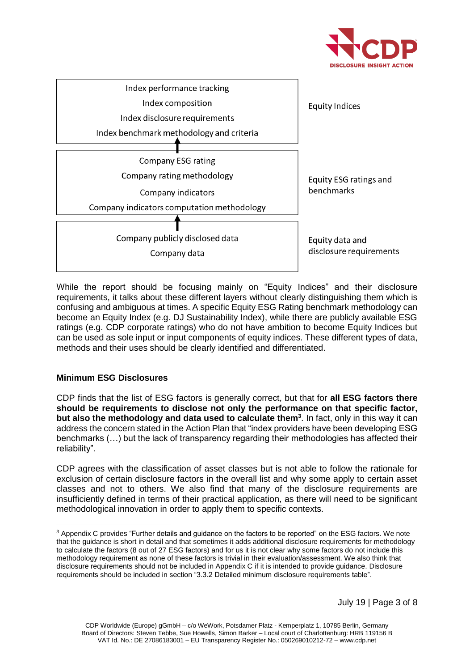



While the report should be focusing mainly on "Equity Indices" and their disclosure requirements, it talks about these different layers without clearly distinguishing them which is confusing and ambiguous at times. A specific Equity ESG Rating benchmark methodology can become an Equity Index (e.g. DJ Sustainability Index), while there are publicly available ESG ratings (e.g. CDP corporate ratings) who do not have ambition to become Equity Indices but can be used as sole input or input components of equity indices. These different types of data, methods and their uses should be clearly identified and differentiated.

# **Minimum ESG Disclosures**

 $\overline{a}$ 

CDP finds that the list of ESG factors is generally correct, but that for **all ESG factors there should be requirements to disclose not only the performance on that specific factor, but also the methodology and data used to calculate them<sup>3</sup>** . In fact, only in this way it can address the concern stated in the Action Plan that "index providers have been developing ESG benchmarks (…) but the lack of transparency regarding their methodologies has affected their reliability".

CDP agrees with the classification of asset classes but is not able to follow the rationale for exclusion of certain disclosure factors in the overall list and why some apply to certain asset classes and not to others. We also find that many of the disclosure requirements are insufficiently defined in terms of their practical application, as there will need to be significant methodological innovation in order to apply them to specific contexts.

<sup>&</sup>lt;sup>3</sup> Appendix C provides "Further details and guidance on the factors to be reported" on the ESG factors. We note that the guidance is short in detail and that sometimes it adds additional disclosure requirements for methodology to calculate the factors (8 out of 27 ESG factors) and for us it is not clear why some factors do not include this methodology requirement as none of these factors is trivial in their evaluation/assessment. We also think that disclosure requirements should not be included in Appendix C if it is intended to provide guidance. Disclosure requirements should be included in section "3.3.2 Detailed minimum disclosure requirements table".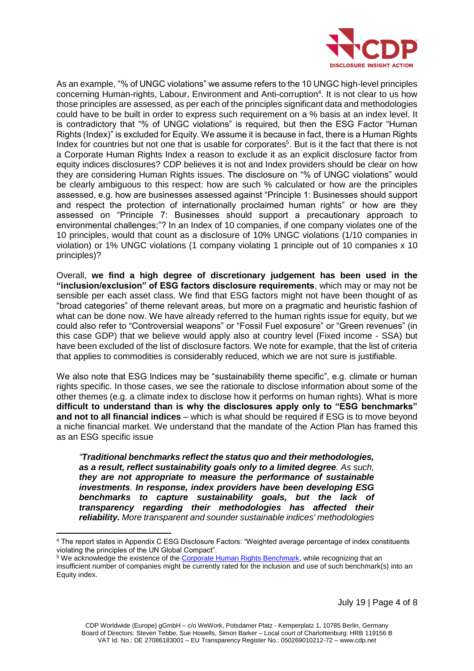

As an example, "% of UNGC violations" we assume refers to the 10 UNGC high-level principles concerning Human-rights, Labour, Environment and Anti-corruption<sup>4</sup>. It is not clear to us how those principles are assessed, as per each of the principles significant data and methodologies could have to be built in order to express such requirement on a % basis at an index level. It is contradictory that "% of UNGC violations" is required, but then the ESG Factor "Human Rights (Index)" is excluded for Equity. We assume it is because in fact, there is a Human Rights Index for countries but not one that is usable for corporates<sup>5</sup>. But is it the fact that there is not a Corporate Human Rights Index a reason to exclude it as an explicit disclosure factor from equity indices disclosures? CDP believes it is not and Index providers should be clear on how they are considering Human Rights issues. The disclosure on "% of UNGC violations" would be clearly ambiguous to this respect: how are such % calculated or how are the principles assessed, e.g. how are businesses assessed against "Principle 1: Businesses should support and respect the protection of internationally proclaimed human rights" or how are they assessed on "Principle 7: Businesses should support a precautionary approach to environmental challenges;"? In an Index of 10 companies, if one company violates one of the 10 principles, would that count as a disclosure of 10% UNGC violations (1/10 companies in violation) or 1% UNGC violations (1 company violating 1 principle out of 10 companies x 10 principles)?

Overall, **we find a high degree of discretionary judgement has been used in the "inclusion/exclusion" of ESG factors disclosure requirements**, which may or may not be sensible per each asset class. We find that ESG factors might not have been thought of as "broad categories" of theme relevant areas, but more on a pragmatic and heuristic fashion of what can be done now. We have already referred to the human rights issue for equity, but we could also refer to "Controversial weapons" or "Fossil Fuel exposure" or "Green revenues" (in this case GDP) that we believe would apply also at country level (Fixed income - SSA) but have been excluded of the list of disclosure factors. We note for example, that the list of criteria that applies to commodities is considerably reduced, which we are not sure is justifiable.

We also note that ESG Indices may be "sustainability theme specific", e.g. climate or human rights specific. In those cases, we see the rationale to disclose information about some of the other themes (e.g. a climate index to disclose how it performs on human rights). What is more **difficult to understand than is why the disclosures apply only to "ESG benchmarks" and not to all financial indices** – which is what should be required if ESG is to move beyond a niche financial market. We understand that the mandate of the Action Plan has framed this as an ESG specific issue

*"Traditional benchmarks reflect the status quo and their methodologies, as a result, reflect sustainability goals only to a limited degree. As such, they are not appropriate to measure the performance of sustainable investments. In response, index providers have been developing ESG benchmarks to capture sustainability goals, but the lack of transparency regarding their methodologies has affected their reliability. More transparent and sounder sustainable indices' methodologies* 

 $\overline{a}$ 

July 19 | Page 4 of 8

<sup>4</sup> The report states in Appendix C ESG Disclosure Factors: "Weighted average percentage of index constituents violating the principles of the UN Global Compact".

<sup>&</sup>lt;sup>5</sup> We acknowledge the existence of the [Corporate Human Rights Benchmark,](https://www.corporatebenchmark.org/) while recognizing that an insufficient number of companies might be currently rated for the inclusion and use of such benchmark(s) into an Equity index.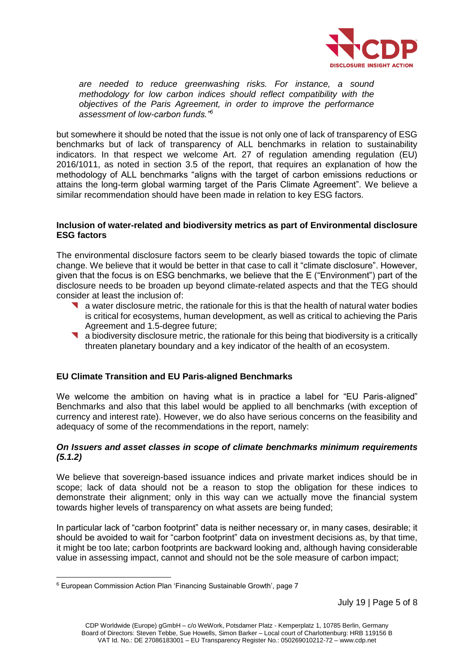

*are needed to reduce greenwashing risks. For instance, a sound methodology for low carbon indices should reflect compatibility with the objectives of the Paris Agreement, in order to improve the performance assessment of low-carbon funds."<sup>6</sup>*

but somewhere it should be noted that the issue is not only one of lack of transparency of ESG benchmarks but of lack of transparency of ALL benchmarks in relation to sustainability indicators. In that respect we welcome Art. 27 of regulation amending regulation (EU) 2016/1011, as noted in section 3.5 of the report, that requires an explanation of how the methodology of ALL benchmarks "aligns with the target of carbon emissions reductions or attains the long-term global warming target of the Paris Climate Agreement". We believe a similar recommendation should have been made in relation to key ESG factors.

#### **Inclusion of water-related and biodiversity metrics as part of Environmental disclosure ESG factors**

The environmental disclosure factors seem to be clearly biased towards the topic of climate change. We believe that it would be better in that case to call it "climate disclosure". However, given that the focus is on ESG benchmarks, we believe that the E ("Environment") part of the disclosure needs to be broaden up beyond climate-related aspects and that the TEG should consider at least the inclusion of:

- a water disclosure metric, the rationale for this is that the health of natural water bodies is critical for ecosystems, human development, as well as critical to achieving the Paris Agreement and 1.5-degree future;
- a biodiversity disclosure metric, the rationale for this being that biodiversity is a critically threaten planetary boundary and a key indicator of the health of an ecosystem.

# **EU Climate Transition and EU Paris-aligned Benchmarks**

We welcome the ambition on having what is in practice a label for "EU Paris-aligned" Benchmarks and also that this label would be applied to all benchmarks (with exception of currency and interest rate). However, we do also have serious concerns on the feasibility and adequacy of some of the recommendations in the report, namely:

#### *On Issuers and asset classes in scope of climate benchmarks minimum requirements (5.1.2)*

We believe that sovereign-based issuance indices and private market indices should be in scope; lack of data should not be a reason to stop the obligation for these indices to demonstrate their alignment; only in this way can we actually move the financial system towards higher levels of transparency on what assets are being funded;

In particular lack of "carbon footprint" data is neither necessary or, in many cases, desirable; it should be avoided to wait for "carbon footprint" data on investment decisions as, by that time, it might be too late; carbon footprints are backward looking and, although having considerable value in assessing impact, cannot and should not be the sole measure of carbon impact;

 $\overline{a}$ <sup>6</sup> European Commission Action Plan 'Financing Sustainable Growth', page 7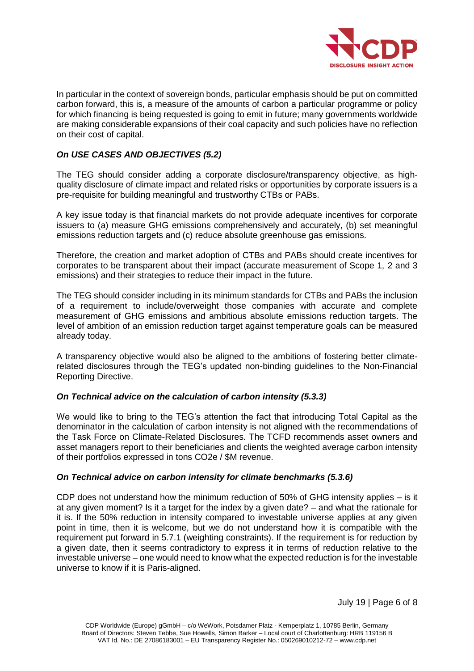

In particular in the context of sovereign bonds, particular emphasis should be put on committed carbon forward, this is, a measure of the amounts of carbon a particular programme or policy for which financing is being requested is going to emit in future; many governments worldwide are making considerable expansions of their coal capacity and such policies have no reflection on their cost of capital.

# *On USE CASES AND OBJECTIVES (5.2)*

The TEG should consider adding a corporate disclosure/transparency objective, as highquality disclosure of climate impact and related risks or opportunities by corporate issuers is a pre-requisite for building meaningful and trustworthy CTBs or PABs.

A key issue today is that financial markets do not provide adequate incentives for corporate issuers to (a) measure GHG emissions comprehensively and accurately, (b) set meaningful emissions reduction targets and (c) reduce absolute greenhouse gas emissions.

Therefore, the creation and market adoption of CTBs and PABs should create incentives for corporates to be transparent about their impact (accurate measurement of Scope 1, 2 and 3 emissions) and their strategies to reduce their impact in the future.

The TEG should consider including in its minimum standards for CTBs and PABs the inclusion of a requirement to include/overweight those companies with accurate and complete measurement of GHG emissions and ambitious absolute emissions reduction targets. The level of ambition of an emission reduction target against temperature goals can be measured already today.

A transparency objective would also be aligned to the ambitions of fostering better climaterelated disclosures through the TEG's updated non-binding guidelines to the Non-Financial Reporting Directive.

# *On Technical advice on the calculation of carbon intensity (5.3.3)*

We would like to bring to the TEG's attention the fact that introducing Total Capital as the denominator in the calculation of carbon intensity is not aligned with the recommendations of the Task Force on Climate-Related Disclosures. The TCFD recommends asset owners and asset managers report to their beneficiaries and clients the weighted average carbon intensity of their portfolios expressed in tons CO2e / \$M revenue.

# *On Technical advice on carbon intensity for climate benchmarks (5.3.6)*

CDP does not understand how the minimum reduction of 50% of GHG intensity applies – is it at any given moment? Is it a target for the index by a given date? – and what the rationale for it is. If the 50% reduction in intensity compared to investable universe applies at any given point in time, then it is welcome, but we do not understand how it is compatible with the requirement put forward in 5.7.1 (weighting constraints). If the requirement is for reduction by a given date, then it seems contradictory to express it in terms of reduction relative to the investable universe – one would need to know what the expected reduction is for the investable universe to know if it is Paris-aligned.

July 19 | Page 6 of 8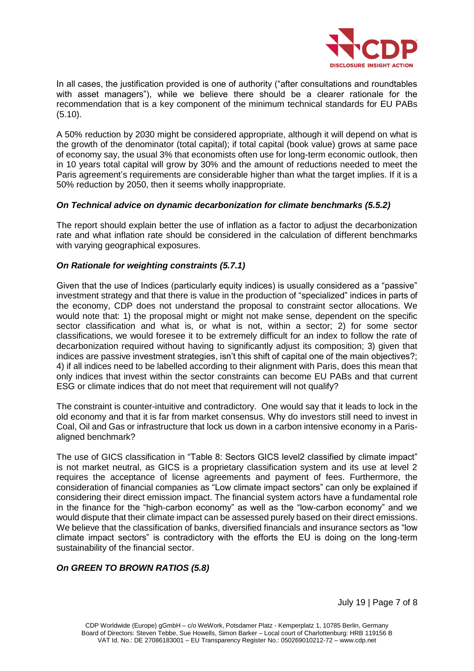

In all cases, the justification provided is one of authority ("after consultations and roundtables with asset managers"), while we believe there should be a clearer rationale for the recommendation that is a key component of the minimum technical standards for EU PABs (5.10).

A 50% reduction by 2030 might be considered appropriate, although it will depend on what is the growth of the denominator (total capital); if total capital (book value) grows at same pace of economy say, the usual 3% that economists often use for long-term economic outlook, then in 10 years total capital will grow by 30% and the amount of reductions needed to meet the Paris agreement's requirements are considerable higher than what the target implies. If it is a 50% reduction by 2050, then it seems wholly inappropriate.

# *On Technical advice on dynamic decarbonization for climate benchmarks (5.5.2)*

The report should explain better the use of inflation as a factor to adjust the decarbonization rate and what inflation rate should be considered in the calculation of different benchmarks with varying geographical exposures.

# *On Rationale for weighting constraints (5.7.1)*

Given that the use of Indices (particularly equity indices) is usually considered as a "passive" investment strategy and that there is value in the production of "specialized" indices in parts of the economy, CDP does not understand the proposal to constraint sector allocations. We would note that: 1) the proposal might or might not make sense, dependent on the specific sector classification and what is, or what is not, within a sector; 2) for some sector classifications, we would foresee it to be extremely difficult for an index to follow the rate of decarbonization required without having to significantly adjust its composition; 3) given that indices are passive investment strategies, isn't this shift of capital one of the main objectives?; 4) if all indices need to be labelled according to their alignment with Paris, does this mean that only indices that invest within the sector constraints can become EU PABs and that current ESG or climate indices that do not meet that requirement will not qualify?

The constraint is counter-intuitive and contradictory. One would say that it leads to lock in the old economy and that it is far from market consensus. Why do investors still need to invest in Coal, Oil and Gas or infrastructure that lock us down in a carbon intensive economy in a Parisaligned benchmark?

The use of GICS classification in "Table 8: Sectors GICS level2 classified by climate impact" is not market neutral, as GICS is a proprietary classification system and its use at level 2 requires the acceptance of license agreements and payment of fees. Furthermore, the consideration of financial companies as "Low climate impact sectors" can only be explained if considering their direct emission impact. The financial system actors have a fundamental role in the finance for the "high-carbon economy" as well as the "low-carbon economy" and we would dispute that their climate impact can be assessed purely based on their direct emissions. We believe that the classification of banks, diversified financials and insurance sectors as "low climate impact sectors" is contradictory with the efforts the EU is doing on the long-term sustainability of the financial sector.

# *On GREEN TO BROWN RATIOS (5.8)*